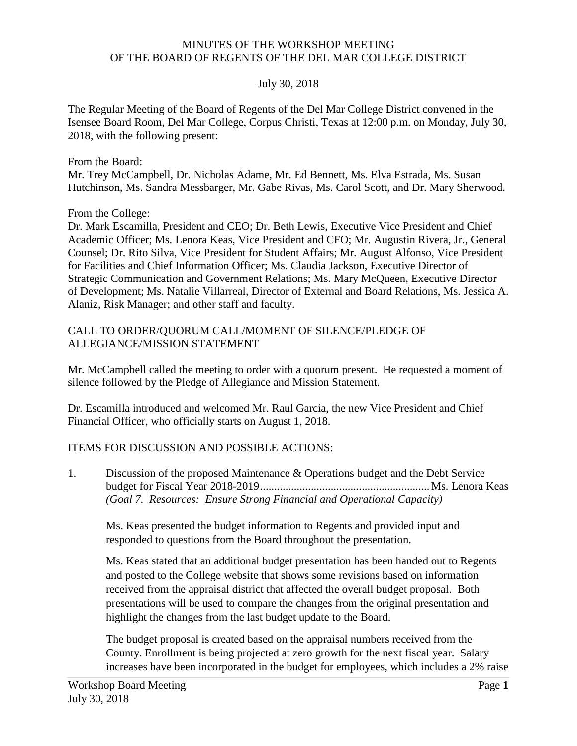## MINUTES OF THE WORKSHOP MEETING OF THE BOARD OF REGENTS OF THE DEL MAR COLLEGE DISTRICT

## July 30, 2018

The Regular Meeting of the Board of Regents of the Del Mar College District convened in the Isensee Board Room, Del Mar College, Corpus Christi, Texas at 12:00 p.m. on Monday, July 30, 2018, with the following present:

From the Board:

Mr. Trey McCampbell, Dr. Nicholas Adame, Mr. Ed Bennett, Ms. Elva Estrada, Ms. Susan Hutchinson, Ms. Sandra Messbarger, Mr. Gabe Rivas, Ms. Carol Scott, and Dr. Mary Sherwood.

From the College:

 for Facilities and Chief Information Officer; Ms. Claudia Jackson, Executive Director of Alaniz, Risk Manager; and other staff and faculty. Dr. Mark Escamilla, President and CEO; Dr. Beth Lewis, Executive Vice President and Chief Academic Officer; Ms. Lenora Keas, Vice President and CFO; Mr. Augustin Rivera, Jr., General Counsel; Dr. Rito Silva, Vice President for Student Affairs; Mr. August Alfonso, Vice President Strategic Communication and Government Relations; Ms. Mary McQueen, Executive Director of Development; Ms. Natalie Villarreal, Director of External and Board Relations, Ms. Jessica A.

## CALL TO ORDER/QUORUM CALL/MOMENT OF SILENCE/PLEDGE OF ALLEGIANCE/MISSION STATEMENT

Mr. McCampbell called the meeting to order with a quorum present. He requested a moment of silence followed by the Pledge of Allegiance and Mission Statement.

Dr. Escamilla introduced and welcomed Mr. Raul Garcia, the new Vice President and Chief Financial Officer, who officially starts on August 1, 2018.

## ITEMS FOR DISCUSSION AND POSSIBLE ACTIONS:

1. Discussion of the proposed Maintenance & Operations budget and the Debt Service budget for Fiscal Year 2018-2019............................................................Ms. Lenora Keas *(Goal 7. Resources: Ensure Strong Financial and Operational Capacity)* 

 responded to questions from the Board throughout the presentation. Ms. Keas presented the budget information to Regents and provided input and

 Ms. Keas stated that an additional budget presentation has been handed out to Regents and posted to the College website that shows some revisions based on information received from the appraisal district that affected the overall budget proposal. Both presentations will be used to compare the changes from the original presentation and highlight the changes from the last budget update to the Board.

The budget proposal is created based on the appraisal numbers received from the County. Enrollment is being projected at zero growth for the next fiscal year. Salary increases have been incorporated in the budget for employees, which includes a 2% raise